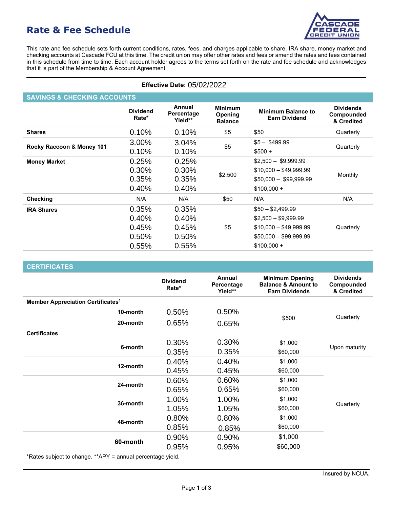# **Rate & Fee Schedule**



This rate and fee schedule sets forth current conditions, rates, fees, and charges applicable to share, IRA share, money market and checking accounts at Cascade FCU at this time. The credit union may offer other rates and fees or amend the rates and fees contained in this schedule from time to time. Each account holder agrees to the terms set forth on the rate and fee schedule and acknowledges that it is part of the Membership & Account Agreement.

**\_\_\_\_\_\_\_\_\_\_\_\_\_\_\_\_\_\_\_\_\_\_\_\_\_\_\_\_\_\_\_\_\_\_\_\_\_\_\_\_\_\_\_\_\_\_\_\_\_\_\_\_\_\_\_\_\_\_\_\_\_\_\_\_\_\_\_\_\_\_\_\_\_\_\_\_\_\_\_\_\_\_\_\_\_\_\_\_\_\_\_\_\_**

| <b>Effective Date: 05/02/2022</b>      |                                           |                                           |                                             |                                                                                                               |                                              |  |  |  |
|----------------------------------------|-------------------------------------------|-------------------------------------------|---------------------------------------------|---------------------------------------------------------------------------------------------------------------|----------------------------------------------|--|--|--|
| <b>SAVINGS &amp; CHECKING ACCOUNTS</b> |                                           |                                           |                                             |                                                                                                               |                                              |  |  |  |
|                                        | <b>Dividend</b><br>Rate*                  | Annual<br>Percentage<br>Yield**           | <b>Minimum</b><br>Opening<br><b>Balance</b> | <b>Minimum Balance to</b><br><b>Earn Dividend</b>                                                             | <b>Dividends</b><br>Compounded<br>& Credited |  |  |  |
| <b>Shares</b>                          | 0.10%                                     | 0.10%                                     | \$5                                         | \$50                                                                                                          | Quarterly                                    |  |  |  |
| Rocky Raccoon & Money 101              | 3.00%<br>0.10%                            | 3.04%<br>0.10%                            | \$5                                         | $$5 - $499.99$<br>$$500 +$                                                                                    | Quarterly                                    |  |  |  |
| <b>Money Market</b>                    | 0.25%<br>0.30%<br>0.35%<br>0.40%          | 0.25%<br>0.30%<br>0.35%<br>0.40%          | \$2,500                                     | $$2,500 - $9,999.99$<br>$$10,000 - $49,999.99$<br>$$50,000 - $99,999.99$<br>$$100,000 +$                      | Monthly                                      |  |  |  |
| <b>Checking</b>                        | N/A                                       | N/A                                       | \$50                                        | N/A                                                                                                           | N/A                                          |  |  |  |
| <b>IRA Shares</b>                      | 0.35%<br>0.40%<br>0.45%<br>0.50%<br>0.55% | 0.35%<br>0.40%<br>0.45%<br>0.50%<br>0.55% | \$5                                         | $$50 - $2,499.99$<br>$$2,500 - $9,999.99$<br>$$10,000 - $49,999.99$<br>$$50,000 - $99,999.99$<br>$$100,000 +$ | Quarterly                                    |  |  |  |

| <b>Effective Date: 05/02/2022</b>             |                                           |                                           |                                             |                                                                                                               |                                              |  |  |  |
|-----------------------------------------------|-------------------------------------------|-------------------------------------------|---------------------------------------------|---------------------------------------------------------------------------------------------------------------|----------------------------------------------|--|--|--|
| <b>SAVINGS &amp; CHECKING ACCOUNTS</b>        |                                           |                                           |                                             |                                                                                                               |                                              |  |  |  |
|                                               | <b>Dividend</b><br>Rate*                  | <b>Annual</b><br>Percentage<br>Yield**    | <b>Minimum</b><br>Opening<br><b>Balance</b> | <b>Minimum Balance to</b><br><b>Earn Dividend</b>                                                             | <b>Dividends</b><br>Compounded<br>& Credited |  |  |  |
| <b>Shares</b>                                 | 0.10%                                     | 0.10%                                     | \$5                                         | \$50                                                                                                          | Quarterly                                    |  |  |  |
| Rocky Raccoon & Money 101                     | 3.00%<br>0.10%                            | 3.04%<br>0.10%                            | \$5                                         | $$5 - $499.99$<br>$$500 +$                                                                                    | Quarterly                                    |  |  |  |
| <b>Money Market</b>                           | 0.25%<br>0.30%<br>0.35%<br>0.40%          | 0.25%<br>0.30%<br>0.35%<br>0.40%          | \$2,500                                     | $$2,500 - $9,999.99$<br>$$10,000 - $49,999.99$<br>$$50,000 - $99,999.99$<br>$$100,000 +$                      | Monthly                                      |  |  |  |
| <b>Checking</b>                               | N/A                                       | N/A                                       | \$50                                        | N/A                                                                                                           | N/A                                          |  |  |  |
| <b>IRA Shares</b>                             | 0.35%<br>0.40%<br>0.45%<br>0.50%<br>0.55% | 0.35%<br>0.40%<br>0.45%<br>0.50%<br>0.55% | \$5                                         | $$50 - $2,499.99$<br>$$2,500 - $9,999.99$<br>$$10,000 - $49,999.99$<br>$$50,000 - $99,999.99$<br>$$100,000 +$ | Quarterly                                    |  |  |  |
|                                               |                                           |                                           |                                             |                                                                                                               |                                              |  |  |  |
| <b>CERTIFICATES</b>                           |                                           | <b>Dividend</b><br>Rate*                  | Annual<br>Percentage<br>Yield**             | <b>Minimum Opening</b><br><b>Balance &amp; Amount to</b><br><b>Earn Dividends</b>                             | <b>Dividends</b><br>Compounded<br>& Credited |  |  |  |
| Member Appreciation Certificates <sup>1</sup> |                                           |                                           |                                             |                                                                                                               |                                              |  |  |  |
|                                               | 10-month                                  | 0.50%                                     | 0.50%                                       |                                                                                                               |                                              |  |  |  |
|                                               | 20-month                                  | 0.65%                                     | 0.65%                                       | \$500                                                                                                         | Quarterly                                    |  |  |  |
| <b>Certificates</b>                           | 6-month                                   | 0.30%<br>0.35%                            | 0.30%<br>0.35%                              | \$1,000<br>\$60,000                                                                                           | Upon maturity                                |  |  |  |
|                                               | 12-month                                  | 0.40%<br>0.45%                            | 0.40%<br>0.45%                              | \$1,000<br>\$60,000                                                                                           |                                              |  |  |  |
|                                               | 24-month                                  | 0.60%<br>0.65%                            | 0.60%<br>0.65%                              | \$1,000<br>\$60,000                                                                                           |                                              |  |  |  |
|                                               | 36-month                                  | 1.00%<br>1.05%                            | 1.00%<br>1.05%                              | \$1,000<br>\$60,000                                                                                           | Quarterly                                    |  |  |  |
|                                               | 48-month                                  | 0.80%<br>0.85%                            | 0.80%<br>0.85%                              | \$1,000<br>\$60,000                                                                                           |                                              |  |  |  |
|                                               | 60-month                                  | 0.90%                                     | 0.90%                                       | \$1,000                                                                                                       |                                              |  |  |  |

\*Rates subject to change. \*\*APY = annual percentage yield.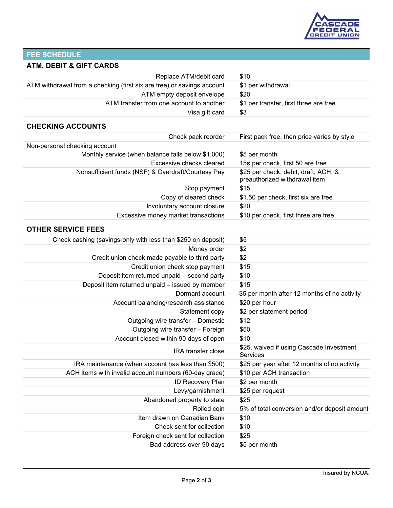

## **FEE SCHEDULE**

### **ATM, DEBIT & GIFT CARDS**

| Replace ATM/debit card                                                 | \$10                                                                  |
|------------------------------------------------------------------------|-----------------------------------------------------------------------|
| ATM withdrawal from a checking (first six are free) or savings account | \$1 per withdrawal                                                    |
| ATM empty deposit envelope                                             | \$20                                                                  |
| ATM transfer from one account to another                               | \$1 per transfer, first three are free                                |
| Visa gift card                                                         | \$3                                                                   |
| <b>CHECKING ACCOUNTS</b>                                               |                                                                       |
| Check pack reorder                                                     | First pack free, then price varies by style                           |
| Non-personal checking account                                          |                                                                       |
| Monthly service (when balance falls below \$1,000)                     | \$5 per month                                                         |
| Excessive checks cleared                                               | 15¢ per check, first 50 are free                                      |
| Nonsufficient funds (NSF) & Overdraft/Courtesy Pay                     | \$25 per check, debit, draft, ACH, &<br>preauthorized withdrawal item |
| Stop payment                                                           | \$15                                                                  |
| Copy of cleared check                                                  | \$1.50 per check, first six are free                                  |
| Involuntary account closure                                            | \$20                                                                  |
| Excessive money market transactions                                    | \$10 per check, first three are free                                  |
| <b>OTHER SERVICE FEES</b>                                              |                                                                       |
| Check cashing (savings-only with less than \$250 on deposit)           | \$5                                                                   |
| Money order                                                            | \$2                                                                   |
| Credit union check made payable to third party                         | \$2                                                                   |
| Credit union check stop payment                                        | \$15                                                                  |
| Deposit item returned unpaid - second party                            | \$10                                                                  |
| Deposit item returned unpaid - issued by member                        | \$15                                                                  |
| Dormant account                                                        | \$5 per month after 12 months of no activity                          |
| Account balancing/research assistance                                  | \$20 per hour                                                         |
| Statement copy                                                         | \$2 per statement period                                              |
| Outgoing wire transfer - Domestic                                      | \$12                                                                  |
| Outgoing wire transfer - Foreign                                       | \$50                                                                  |
| Account closed within 90 days of open                                  | \$10                                                                  |
| IRA transfer close                                                     | \$25, waived if using Cascade Investment<br>Services                  |
| IRA maintenance (when account has less than \$500)                     | \$25 per year after 12 months of no activity                          |
| ACH items with invalid account numbers (60-day grace)                  | \$10 per ACH transaction                                              |
| ID Recovery Plan                                                       | \$2 per month                                                         |
| Levy/garnishment                                                       | \$25 per request                                                      |
| Abandoned property to state                                            | \$25                                                                  |
| Rolled coin                                                            | 5% of total conversion and/or deposit amount                          |
| Item drawn on Canadian Bank                                            | \$10                                                                  |
| Check sent for collection                                              | \$10                                                                  |
| Foreign check sent for collection                                      | \$25                                                                  |
| Bad address over 90 days                                               | \$5 per month                                                         |
|                                                                        |                                                                       |